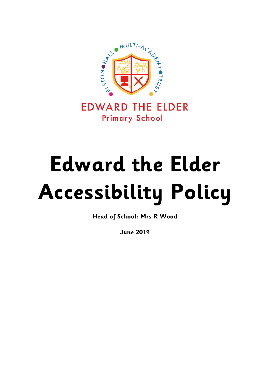

**EDWARD THE ELDER Primary School** 

# **Edward the Elder Accessibility Policy**

**Head of School: Mrs R Wood**

**June 2019**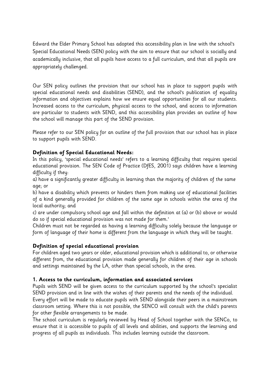Edward the Elder Primary School has adopted this accessibility plan in line with the school's Special Educational Needs (SEN) policy with the aim to ensure that our school is socially and academically inclusive, that all pupils have access to a full curriculum, and that all pupils are appropriately challenged.

Our SEN policy outlines the provision that our school has in place to support pupils with special educational needs and disabilities (SEND), and the school's publication of equality information and objectives explains how we ensure equal opportunities for all our students. Increased access to the curriculum, physical access to the school, and access to information are particular to students with SEND, and this accessibility plan provides an outline of how the school will manage this part of the SEND provision.

Please refer to our SEN policy for an outline of the full provision that our school has in place to support pupils with SEND.

## **Definition of Special Educational Needs:**

In this policy, 'special educational needs' refers to a learning difficulty that requires special educational provision. The SEN Code of Practice (DfES, 2001) says children have a learning difficulty if they:

a) have a significantly greater difficulty in learning than the majority of children of the same age; or

b) have a disability which prevents or hinders them from making use of educational facilities of a kind generally provided for children of the same age in schools within the area of the local authority; and

c) are under compulsory school age and fall within the definition at (a) or (b) above or would do so if special educational provision was not made for them.'

Children must not be regarded as having a learning difficulty solely because the language or form of language of their home is different from the language in which they will be taught.

#### **Definition of special educational provision**

For children aged two years or older, educational provision which is additional to, or otherwise different from, the educational provision made generally for children of their age in schools and settings maintained by the LA, other than special schools, in the area.

#### **1. Access to the curriculum, information and associated services**

Pupils with SEND will be given access to the curriculum supported by the school's specialist SEND provision and in line with the wishes of their parents and the needs of the individual. Every effort will be made to educate pupils with SEND alongside their peers in a mainstream classroom setting. Where this is not possible, the SENCO will consult with the child's parents for other flexible arrangements to be made.

The school curriculum is regularly reviewed by Head of School together with the SENCo, to ensure that it is accessible to pupils of all levels and abilities, and supports the learning and progress of all pupils as individuals. This includes learning outside the classroom.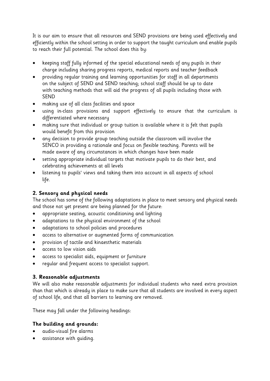It is our aim to ensure that all resources and SEND provisions are being used effectively and efficiently within the school setting in order to support the taught curriculum and enable pupils to reach their full potential. The school does this by:

- keeping staff fully informed of the special educational needs of any pupils in their charge including sharing progress reports, medical reports and teacher feedback
- providing regular training and learning opportunities for staff in all departments on the subject of SEND and SEND teaching; school staff should be up to date with teaching methods that will aid the progress of all pupils including those with SEND
- making use of all class facilities and space
- using in-class provisions and support effectively to ensure that the curriculum is differentiated where necessary
- making sure that individual or group tuition is available where it is felt that pupils would benefit from this provision
- any decision to provide group teaching outside the classroom will involve the SENCO in providing a rationale and focus on flexible teaching. Parents will be made aware of any circumstances in which changes have been made
- setting appropriate individual targets that motivate pupils to do their best, and celebrating achievements at all levels
- listening to pupils' views and taking them into account in all aspects of school life.

# **2. Sensory and physical needs**

The school has some of the following adaptations in place to meet sensory and physical needs and those not yet present are being planned for the future:

- appropriate seating, acoustic conditioning and lighting
- adaptations to the physical environment of the school
- adaptations to school policies and procedures
- access to alternative or augmented forms of communication
- provision of tactile and kinaesthetic materials
- access to low vision aids
- access to specialist aids, equipment or furniture
- regular and frequent access to specialist support.

# **3. Reasonable adjustments**

We will also make reasonable adjustments for individual students who need extra provision than that which is already in place to make sure that all students are involved in every aspect of school life, and that all barriers to learning are removed.

These may fall under the following headings:

# **The building and grounds:**

- audio-visual fire alarms
- assistance with guiding.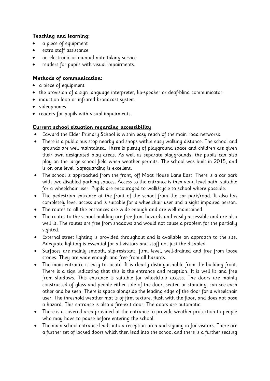# **Teaching and learning:**

- a piece of equipment
- extra staff assistance
- an electronic or manual note-taking service
- readers for pupils with visual impairments.

## **Methods of communication:**

- a piece of equipment
- the provision of a sign language interpreter, lip-speaker or deaf-blind communicator
- induction loop or infrared broadcast system
- videophones
- readers for pupils with visual impairments.

## **Current school situation regarding accessibility**

- Edward the Elder Primary School is within easy reach of the main road networks.
- There is a public bus stop nearby and shops within easy walking distance. The school and grounds are well maintained. There is plenty of playground space and children are given their own designated play areas. As well as separate playgrounds, the pupils can also play on the large school field when weather permits. The school was built in 2015, and is on one level. Safeguarding is excellent.
- The school is approached from the front, off Moat House Lane East. There is a car park with two disabled parking spaces. Access to the entrance is then via a level path, suitable for a wheelchair user. Pupils are encouraged to walk/cycle to school where possible.
- The pedestrian entrance at the front of the school from the car park/road. It also has completely level access and is suitable for a wheelchair user and a sight impaired person.
- The routes to all the entrances are wide enough and are well maintained.
- The routes to the school building are free from hazards and easily accessible and are also well lit. The routes are free from shadows and would not cause a problem for the partially sighted.
- External street lighting is provided throughout and is available on approach to the site. Adequate lighting is essential for all visitors and staff not just the disabled.
- Surfaces are mainly smooth, slip-resistant, firm, level, well-drained and free from loose stones. They are wide enough and free from all hazards.
- The main entrance is easy to locate. It is clearly distinguishable from the building front. There is a sign indicating that this is the entrance and reception. It is well lit and free from shadows. This entrance is suitable for wheelchair access. The doors are mainly constructed of glass and people either side of the door, seated or standing, can see each other and be seen. There is space alongside the leading edge of the door for a wheelchair user. The threshold weather mat is of firm texture, flush with the floor, and does not pose a hazard. This entrance is also a fire-exit door. The doors are automatic.
- There is a covered area provided at the entrance to provide weather protection to people who may have to pause before entering the school.
- The main school entrance leads into a reception area and signing in for visitors. There are a further set of locked doors which then lead into the school and there is a further seating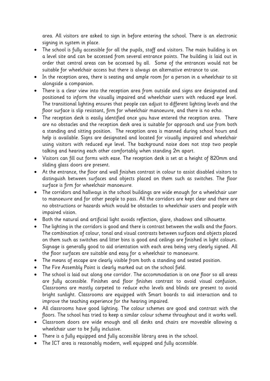area. All visitors are asked to sign in before entering the school. There is an electronic signing in system in place.

- The school is fully accessible for all the pupils, staff and visitors. The main building is on a level site and can be accessed from several entrance points. The building is laid out in order that central areas can be accessed by all. Some of the entrances would not be suitable for wheelchair access but there is always an alternative entrance to use.
- In the reception area, there is seating and ample room for a person in a wheelchair to sit alongside a companion.
- There is a clear view into the reception area from outside and signs are designated and positioned to inform the visually impaired and wheelchair users with reduced eye level. The transitional lighting ensures that people can adjust to different lighting levels and the floor surface is slip resistant, firm for wheelchair manoeuvre, and there is no echo.
- The reception desk is easily identified once you have entered the reception area. There are no obstacles and the reception desk area is suitable for approach and use from both a standing and sitting position. The reception area is manned during school hours and help is available. Signs are designated and located for visually impaired and wheelchair using visitors with reduced eye level. The background noise does not stop two people talking and hearing each other comfortably when standing 2m apart.
- Visitors can fill out forms with ease. The reception desk is set at a height of 820mm and sliding glass doors are present.
- At the entrance, the floor and wall finishes contrast in colour to assist disabled visitors to distinguish between surfaces and objects placed on them such as switches. The floor surface is firm for wheelchair manoeuvre.
- The corridors and hallways in the school buildings are wide enough for a wheelchair user to manoeuvre and for other people to pass. All the corridors are kept clear and there are no obstructions or hazards which would be obstacles to wheelchair users and people with impaired vision.
- Both the natural and artificial light avoids reflection, glare, shadows and silhouette.
- The lighting in the corridors is good and there is contrast between the walls and the floors. The combination of colour, tonal and visual contrasts between surfaces and objects placed on them such as switches and litter bins is good and ceilings are finished in light colours. Signage is generally good to aid orientation with each area being very clearly signed. All the floor surfaces are suitable and easy for a wheelchair to manoeuvre.
- The means of escape are clearly visible from both a standing and seated position.
- The Fire Assembly Point is clearly marked out on the school field.
- The school is laid out along one corridor. The accommodation is on one floor so all areas are fully accessible. Finishes and floor finishes contrast to avoid visual confusion. Classrooms are mostly carpeted to reduce echo levels and blinds are present to avoid bright sunlight. Classrooms are equipped with Smart boards to aid interaction and to improve the teaching experience for the hearing impaired.
- All classrooms have good lighting. The colour schemes are good and contrast with the floors. The school has tried to keep a similar colour scheme throughout and it works well.
- Classroom doors are wide enough and all desks and chairs are moveable allowing a wheelchair user to be fully inclusive.
- There is a fully equipped and fully accessible library area in the school.
- The ICT area is reasonably modern, well equipped and fully accessible.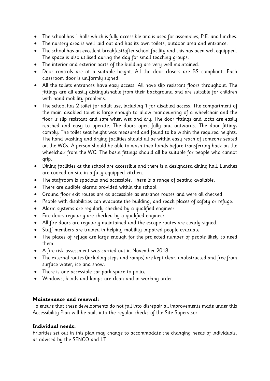- The school has 1 halls which is fully accessible and is used for assemblies, P.E. and lunches.
- The nursery area is well laid out and has its own toilets, outdoor area and entrance.
- The school has an excellent breakfast/after school facility and this has been well equipped. The space is also utilised during the day for small teaching groups.
- The interior and exterior parts of the building are very well maintained.
- Door controls are at a suitable height. All the door closers are BS compliant. Each classroom door is uniformly signed.
- All the toilets entrances have easy access. All have slip resistant floors throughout. The fittings are all easily distinguishable from their background and are suitable for children with hand mobility problems.
- The school has 2 toilet for adult use, including 1 for disabled access. The compartment of the main disabled toilet is large enough to allow manoeuvring of a wheelchair and the floor is slip resistant and safe when wet and dry. The door fittings and locks are easily reached and easy to operate. The doors open fully and outwards. The door fittings comply. The toilet seat height was measured and found to be within the required heights. The hand washing and drying facilities should all be within easy reach of someone seated on the WCs. A person should be able to wash their hands before transferring back on the wheelchair from the WC. The basin fittings should all be suitable for people who cannot grip.
- Dining facilities at the school are accessible and there is a designated dining hall. Lunches are cooked on site in a fully equipped kitchen.
- The staffroom is spacious and accessible. There is a range of seating available.
- There are audible alarms provided within the school.
- Ground floor exit routes are as accessible as entrance routes and were all checked.
- People with disabilities can evacuate the building, and reach places of safety or refuge.
- Alarm systems are regularly checked by a qualified engineer.
- Fire doors regularly are checked by a qualified engineer.
- All fire doors are regularly maintained and the escape routes are clearly signed.
- Staff members are trained in helping mobility impaired people evacuate.
- The places of refuge are large enough for the projected number of people likely to need them.
- A fire risk assessment was carried out in November 2018.
- The external routes (including steps and ramps) are kept clear, unobstructed and free from surface water, ice and snow.
- There is one accessible car park space to police.
- Windows, blinds and lamps are clean and in working order.

## **Maintenance and renewal:**

To ensure that these developments do not fall into disrepair all improvements made under this Accessibility Plan will be built into the regular checks of the Site Supervisor.

## **Individual needs:**

Priorities set out in this plan may change to accommodate the changing needs of individuals, as advised by the SENCO and LT.